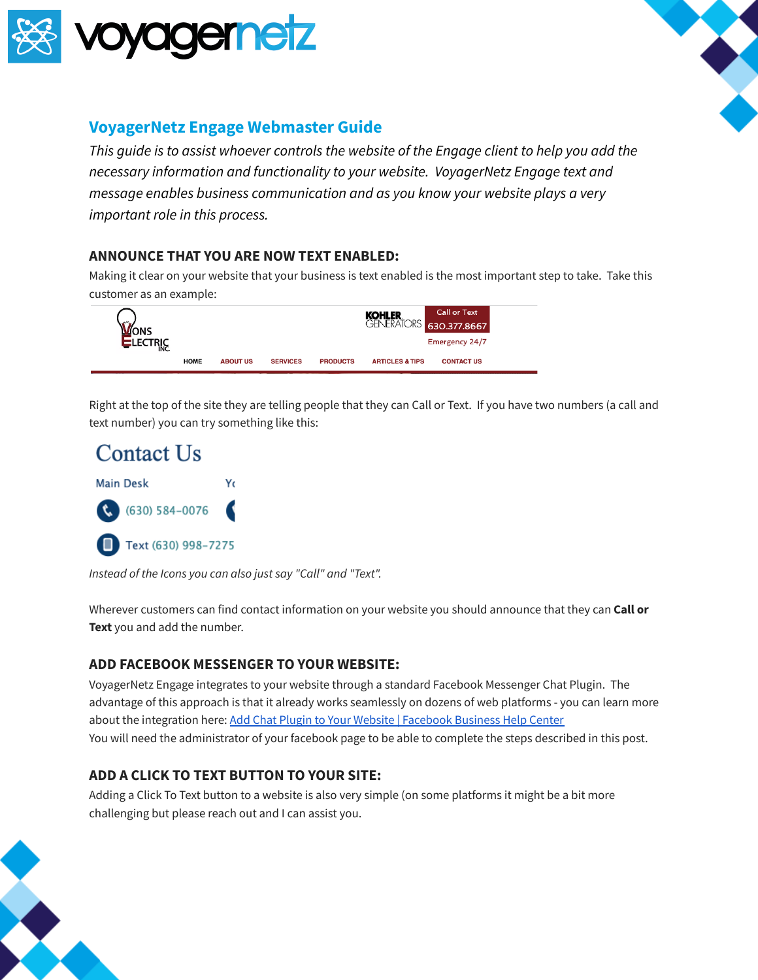



# **VoyagerNetz Engage Webmaster Guide**

*This guide is to assist whoever controls the website of the Engage client to help you add the necessary information and functionality to your website. VoyagerNetz Engage text and message enables business communication and as you know your website plays a very important role in this process.*

#### **ANNOUNCE THAT YOU ARE NOW TEXT ENABLED:**

Making it clear on your website that your business is text enabled is the most important step to take. Take this customer as an example:



Right at the top of the site they are telling people that they can Call or Text. If you have two numbers (a call and text number) you can try something like this:



*Instead of the Icons you can also just say "Call" and "Text".*

Wherever customers can find contact information on your website you should announce that they can **Call or Text** you and add the number.

#### **ADD FACEBOOK MESSENGER TO YOUR WEBSITE:**

VoyagerNetz Engage integrates to your website through a standard Facebook Messenger Chat Plugin. The advantage of this approach is that it already works seamlessly on dozens of web platforms - you can learn more about the integration here: Add Chat Plugin to Your Website | [Facebook](https://www.facebook.com/business/help/1524587524402327) Business Help Center You will need the administrator of your facebook page to be able to complete the steps described in this post.

## **ADD A CLICK TO TEXT BUTTON TO YOUR SITE:**

Adding a Click To Text button to a website is also very simple (on some platforms it might be a bit more challenging but please reach out and I can assist you.